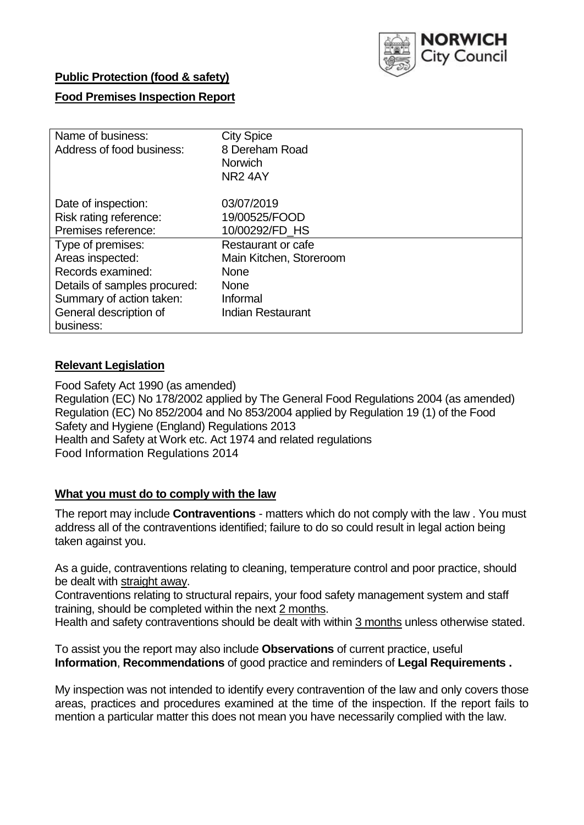

### **Public Protection (food & safety)**

### **Food Premises Inspection Report**

| Name of business:            | <b>City Spice</b>       |
|------------------------------|-------------------------|
| Address of food business:    | 8 Dereham Road          |
|                              | <b>Norwich</b>          |
|                              | NR <sub>2</sub> 4AY     |
|                              |                         |
| Date of inspection:          | 03/07/2019              |
| Risk rating reference:       | 19/00525/FOOD           |
| Premises reference:          | 10/00292/FD HS          |
| Type of premises:            | Restaurant or cafe      |
| Areas inspected:             | Main Kitchen, Storeroom |
| Records examined:            | <b>None</b>             |
| Details of samples procured: | <b>None</b>             |
| Summary of action taken:     | Informal                |
| General description of       | Indian Restaurant       |
| business:                    |                         |

### **Relevant Legislation**

Food Safety Act 1990 (as amended) Regulation (EC) No 178/2002 applied by The General Food Regulations 2004 (as amended) Regulation (EC) No 852/2004 and No 853/2004 applied by Regulation 19 (1) of the Food Safety and Hygiene (England) Regulations 2013 Health and Safety at Work etc. Act 1974 and related regulations Food Information Regulations 2014

#### **What you must do to comply with the law**

The report may include **Contraventions** - matters which do not comply with the law . You must address all of the contraventions identified; failure to do so could result in legal action being taken against you.

As a guide, contraventions relating to cleaning, temperature control and poor practice, should be dealt with straight away.

Contraventions relating to structural repairs, your food safety management system and staff training, should be completed within the next 2 months.

Health and safety contraventions should be dealt with within 3 months unless otherwise stated.

To assist you the report may also include **Observations** of current practice, useful **Information**, **Recommendations** of good practice and reminders of **Legal Requirements .**

My inspection was not intended to identify every contravention of the law and only covers those areas, practices and procedures examined at the time of the inspection. If the report fails to mention a particular matter this does not mean you have necessarily complied with the law.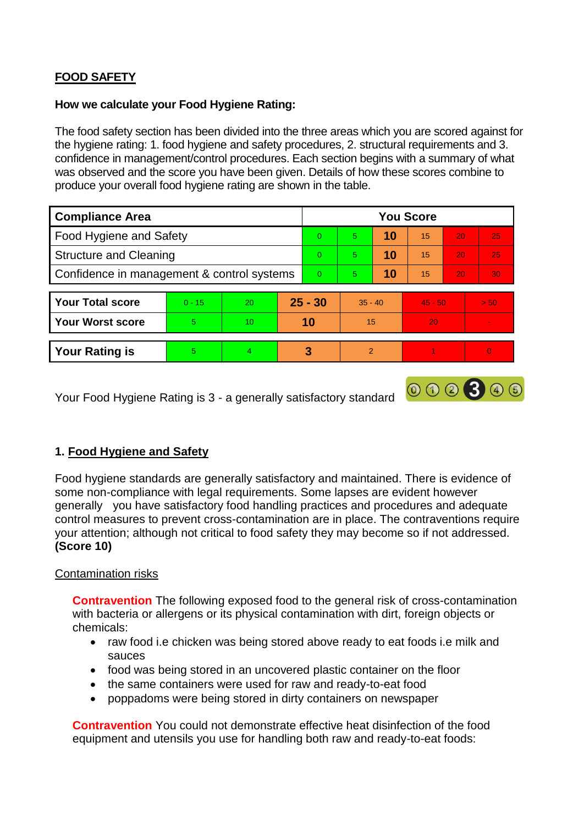# **FOOD SAFETY**

#### **How we calculate your Food Hygiene Rating:**

The food safety section has been divided into the three areas which you are scored against for the hygiene rating: 1. food hygiene and safety procedures, 2. structural requirements and 3. confidence in management/control procedures. Each section begins with a summary of what was observed and the score you have been given. Details of how these scores combine to produce your overall food hygiene rating are shown in the table.

| <b>Compliance Area</b>                     |          |    |          | <b>You Score</b> |                |    |           |                 |          |  |  |
|--------------------------------------------|----------|----|----------|------------------|----------------|----|-----------|-----------------|----------|--|--|
| Food Hygiene and Safety                    |          |    |          | $\Omega$         | 5              | 10 | 15        | 20              | 25       |  |  |
| <b>Structure and Cleaning</b>              |          |    | $\Omega$ | 5                | 10             | 15 | 20        | 25              |          |  |  |
| Confidence in management & control systems |          |    | $\Omega$ | 5                | 10             | 15 | 20        | 30 <sub>1</sub> |          |  |  |
|                                            |          |    |          |                  |                |    |           |                 |          |  |  |
| <b>Your Total score</b>                    | $0 - 15$ | 20 |          | $25 - 30$        | $35 - 40$      |    | $45 - 50$ |                 | > 50     |  |  |
| <b>Your Worst score</b>                    | 5        | 10 |          | 10               | 15             |    | 20        |                 |          |  |  |
|                                            |          |    |          |                  |                |    |           |                 |          |  |  |
| <b>Your Rating is</b>                      | 5        | 4  | 3        |                  | $\overline{2}$ |    |           |                 | $\Omega$ |  |  |

Your Food Hygiene Rating is 3 - a generally satisfactory standard

## **1. Food Hygiene and Safety**

Food hygiene standards are generally satisfactory and maintained. There is evidence of some non-compliance with legal requirements. Some lapses are evident however generally you have satisfactory food handling practices and procedures and adequate control measures to prevent cross-contamination are in place. The contraventions require your attention; although not critical to food safety they may become so if not addressed. **(Score 10)**

000300

#### Contamination risks

**Contravention** The following exposed food to the general risk of cross-contamination with bacteria or allergens or its physical contamination with dirt, foreign objects or chemicals:

- raw food i.e chicken was being stored above ready to eat foods i.e milk and sauces
- food was being stored in an uncovered plastic container on the floor
- the same containers were used for raw and ready-to-eat food
- poppadoms were being stored in dirty containers on newspaper

**Contravention** You could not demonstrate effective heat disinfection of the food equipment and utensils you use for handling both raw and ready-to-eat foods: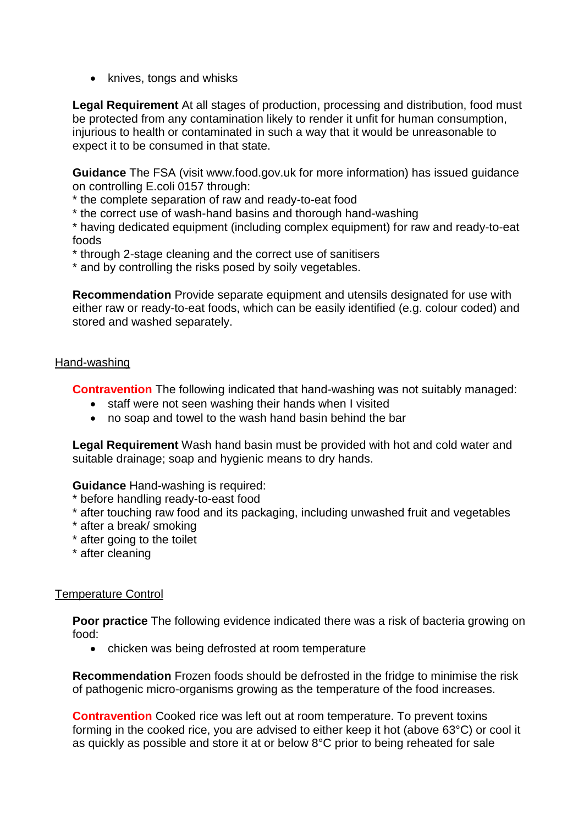• knives, tongs and whisks

**Legal Requirement** At all stages of production, processing and distribution, food must be protected from any contamination likely to render it unfit for human consumption, injurious to health or contaminated in such a way that it would be unreasonable to expect it to be consumed in that state.

**Guidance** The FSA (visit www.food.gov.uk for more information) has issued guidance on controlling E.coli 0157 through:

\* the complete separation of raw and ready-to-eat food

\* the correct use of wash-hand basins and thorough hand-washing

\* having dedicated equipment (including complex equipment) for raw and ready-to-eat foods

\* through 2-stage cleaning and the correct use of sanitisers

\* and by controlling the risks posed by soily vegetables.

**Recommendation** Provide separate equipment and utensils designated for use with either raw or ready-to-eat foods, which can be easily identified (e.g. colour coded) and stored and washed separately.

#### Hand-washing

**Contravention** The following indicated that hand-washing was not suitably managed:

- staff were not seen washing their hands when I visited
- no soap and towel to the wash hand basin behind the bar

**Legal Requirement** Wash hand basin must be provided with hot and cold water and suitable drainage; soap and hygienic means to dry hands.

**Guidance** Hand-washing is required:

\* before handling ready-to-east food

- \* after touching raw food and its packaging, including unwashed fruit and vegetables
- \* after a break/ smoking
- \* after going to the toilet
- \* after cleaning

#### Temperature Control

**Poor practice** The following evidence indicated there was a risk of bacteria growing on food:

• chicken was being defrosted at room temperature

**Recommendation** Frozen foods should be defrosted in the fridge to minimise the risk of pathogenic micro-organisms growing as the temperature of the food increases.

**Contravention** Cooked rice was left out at room temperature. To prevent toxins forming in the cooked rice, you are advised to either keep it hot (above 63°C) or cool it as quickly as possible and store it at or below 8°C prior to being reheated for sale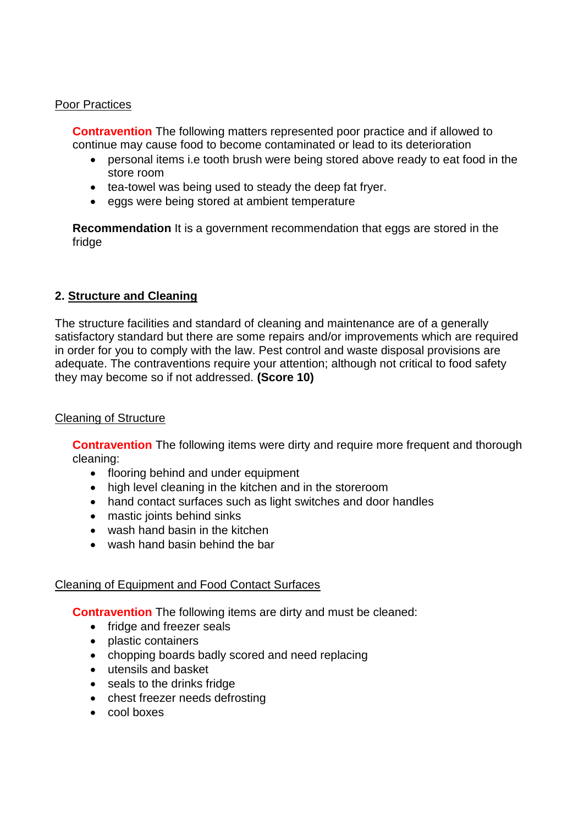#### Poor Practices

**Contravention** The following matters represented poor practice and if allowed to continue may cause food to become contaminated or lead to its deterioration

- personal items i.e tooth brush were being stored above ready to eat food in the store room
- tea-towel was being used to steady the deep fat fryer.
- eggs were being stored at ambient temperature

**Recommendation** It is a government recommendation that eggs are stored in the fridge

## **2. Structure and Cleaning**

The structure facilities and standard of cleaning and maintenance are of a generally satisfactory standard but there are some repairs and/or improvements which are required in order for you to comply with the law. Pest control and waste disposal provisions are adequate. The contraventions require your attention; although not critical to food safety they may become so if not addressed. **(Score 10)**

### Cleaning of Structure

**Contravention** The following items were dirty and require more frequent and thorough cleaning:

- flooring behind and under equipment
- high level cleaning in the kitchen and in the storeroom
- hand contact surfaces such as light switches and door handles
- mastic joints behind sinks
- wash hand basin in the kitchen
- wash hand basin behind the bar

#### Cleaning of Equipment and Food Contact Surfaces

**Contravention** The following items are dirty and must be cleaned:

- fridge and freezer seals
- plastic containers
- chopping boards badly scored and need replacing
- utensils and basket
- seals to the drinks fridge
- chest freezer needs defrosting
- cool boxes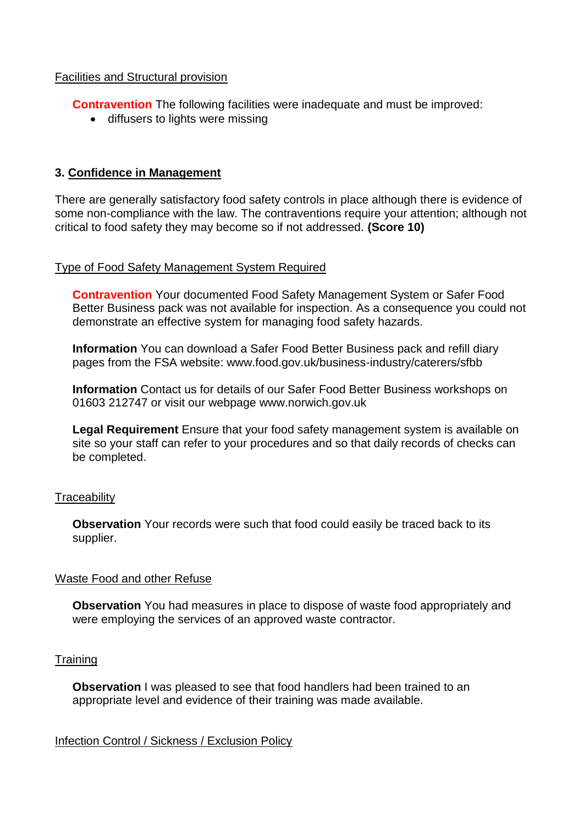#### Facilities and Structural provision

**Contravention** The following facilities were inadequate and must be improved:

• diffusers to lights were missing

### **3. Confidence in Management**

There are generally satisfactory food safety controls in place although there is evidence of some non-compliance with the law. The contraventions require your attention; although not critical to food safety they may become so if not addressed. **(Score 10)**

#### Type of Food Safety Management System Required

**Contravention** Your documented Food Safety Management System or Safer Food Better Business pack was not available for inspection. As a consequence you could not demonstrate an effective system for managing food safety hazards.

**Information** You can download a Safer Food Better Business pack and refill diary pages from the FSA website: www.food.gov.uk/business-industry/caterers/sfbb

**Information** Contact us for details of our Safer Food Better Business workshops on 01603 212747 or visit our webpage www.norwich.gov.uk

**Legal Requirement** Ensure that your food safety management system is available on site so your staff can refer to your procedures and so that daily records of checks can be completed.

#### **Traceability**

**Observation** Your records were such that food could easily be traced back to its supplier.

#### Waste Food and other Refuse

**Observation** You had measures in place to dispose of waste food appropriately and were employing the services of an approved waste contractor.

#### **Training**

**Observation** I was pleased to see that food handlers had been trained to an appropriate level and evidence of their training was made available.

#### Infection Control / Sickness / Exclusion Policy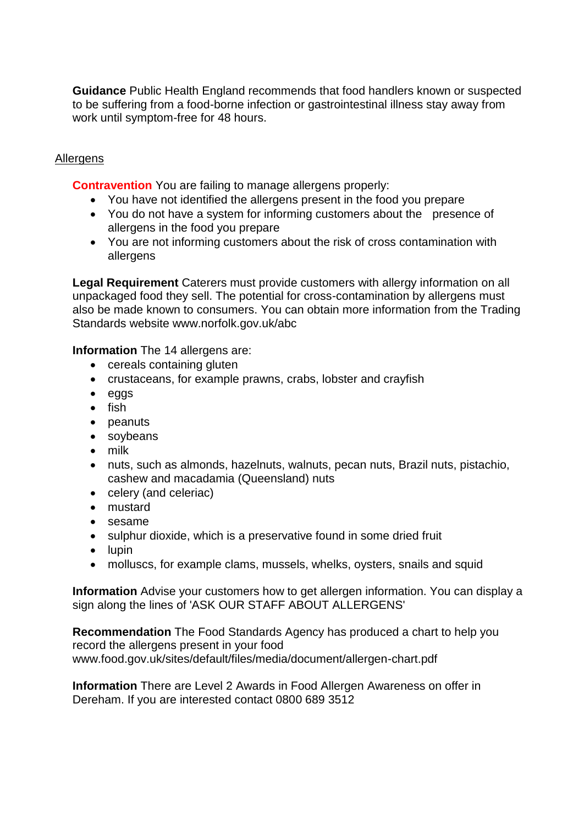**Guidance** Public Health England recommends that food handlers known or suspected to be suffering from a food-borne infection or gastrointestinal illness stay away from work until symptom-free for 48 hours.

### Allergens

**Contravention** You are failing to manage allergens properly:

- You have not identified the allergens present in the food you prepare
- You do not have a system for informing customers about the presence of allergens in the food you prepare
- You are not informing customers about the risk of cross contamination with allergens

**Legal Requirement** Caterers must provide customers with allergy information on all unpackaged food they sell. The potential for cross-contamination by allergens must also be made known to consumers. You can obtain more information from the Trading Standards website www.norfolk.gov.uk/abc

#### **Information** The 14 allergens are:

- cereals containing gluten
- crustaceans, for example prawns, crabs, lobster and crayfish
- eggs
- $\bullet$  fish
- peanuts
- soybeans
- milk
- nuts, such as almonds, hazelnuts, walnuts, pecan nuts, Brazil nuts, pistachio, cashew and macadamia (Queensland) nuts
- celery (and celeriac)
- mustard
- sesame
- sulphur dioxide, which is a preservative found in some dried fruit
- $\bullet$  lupin
- molluscs, for example clams, mussels, whelks, oysters, snails and squid

**Information** Advise your customers how to get allergen information. You can display a sign along the lines of 'ASK OUR STAFF ABOUT ALLERGENS'

**Recommendation** The Food Standards Agency has produced a chart to help you record the allergens present in your food www.food.gov.uk/sites/default/files/media/document/allergen-chart.pdf

**Information** There are Level 2 Awards in Food Allergen Awareness on offer in Dereham. If you are interested contact 0800 689 3512